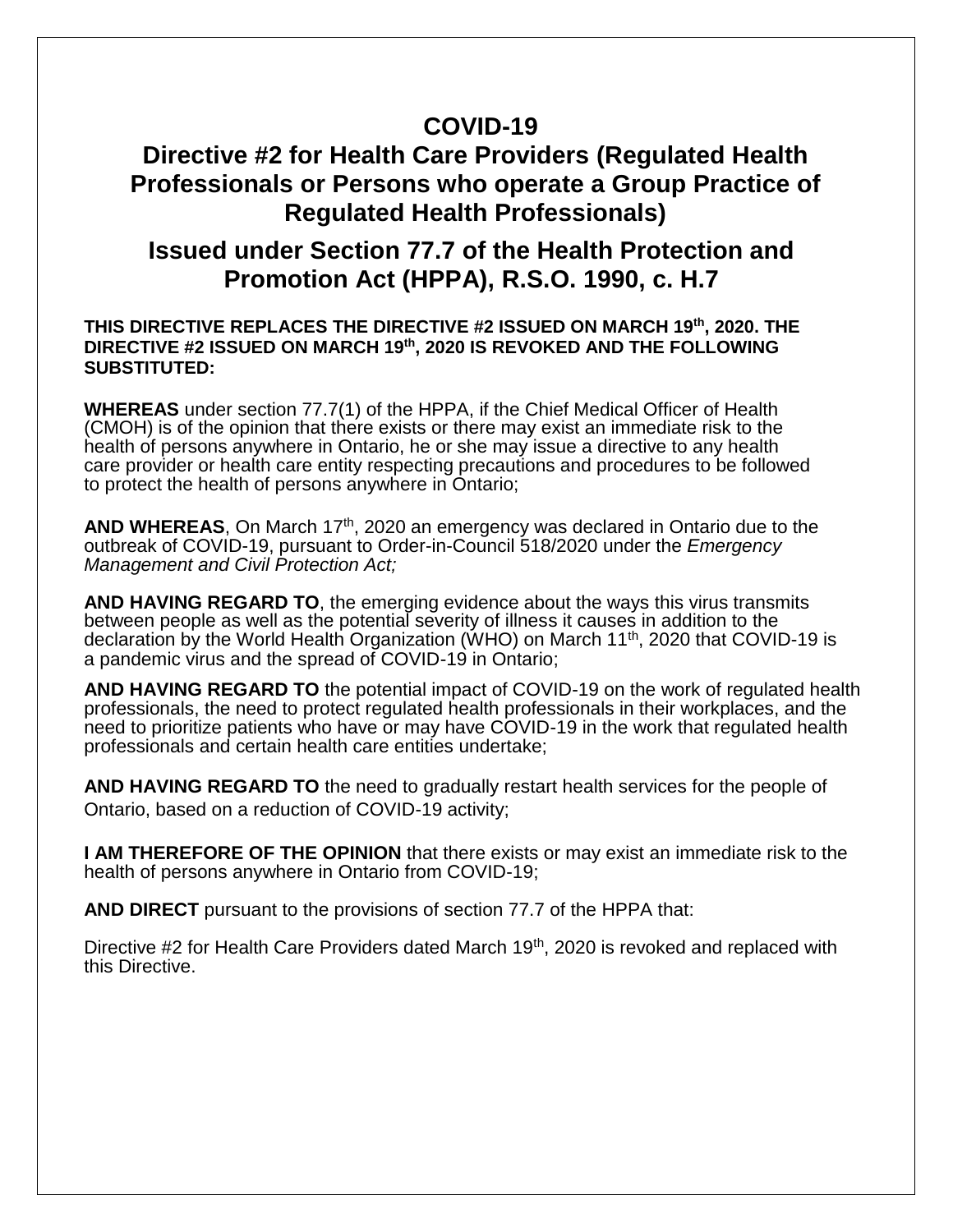### **COVID-19**

## **Directive #2 for Health Care Providers (Regulated Health Professionals or Persons who operate a Group Practice of Regulated Health Professionals)**

## **Issued under Section 77.7 of the Health Protection and Promotion Act (HPPA), R.S.O. 1990, c. H.7**

#### **THIS DIRECTIVE REPLACES THE DIRECTIVE #2 ISSUED ON MARCH 19th, 2020. THE DIRECTIVE #2 ISSUED ON MARCH 19th, 2020 IS REVOKED AND THE FOLLOWING SUBSTITUTED:**

**WHEREAS** under section 77.7(1) of the HPPA, if the Chief Medical Officer of Health (CMOH) is of the opinion that there exists or there may exist an immediate risk to the health of persons anywhere in Ontario, he or she may issue a directive to any health care provider or health care entity respecting precautions and procedures to be followed to protect the health of persons anywhere in Ontario;

AND WHEREAS, On March 17<sup>th</sup>, 2020 an emergency was declared in Ontario due to the outbreak of COVID-19, pursuant to Order-in-Council 518/2020 under the *Emergency Management and Civil Protection Act;*

**AND HAVING REGARD TO**, the emerging evidence about the ways this virus transmits between people as well as the potential severity of illness it causes in addition to the declaration by the World Health Organization (WHO) on March 11th, 2020 that COVID-19 is a pandemic virus and the spread of COVID-19 in Ontario;

**AND HAVING REGARD TO** the potential impact of COVID-19 on the work of regulated health professionals, the need to protect regulated health professionals in their workplaces, and the need to prioritize patients who have or may have COVID-19 in the work that regulated health professionals and certain health care entities undertake;

**AND HAVING REGARD TO** the need to gradually restart health services for the people of Ontario, based on a reduction of COVID-19 activity;

**I AM THEREFORE OF THE OPINION** that there exists or may exist an immediate risk to the health of persons anywhere in Ontario from COVID-19;

**AND DIRECT** pursuant to the provisions of section 77.7 of the HPPA that:

Directive #2 for Health Care Providers dated March 19<sup>th</sup>, 2020 is revoked and replaced with this Directive.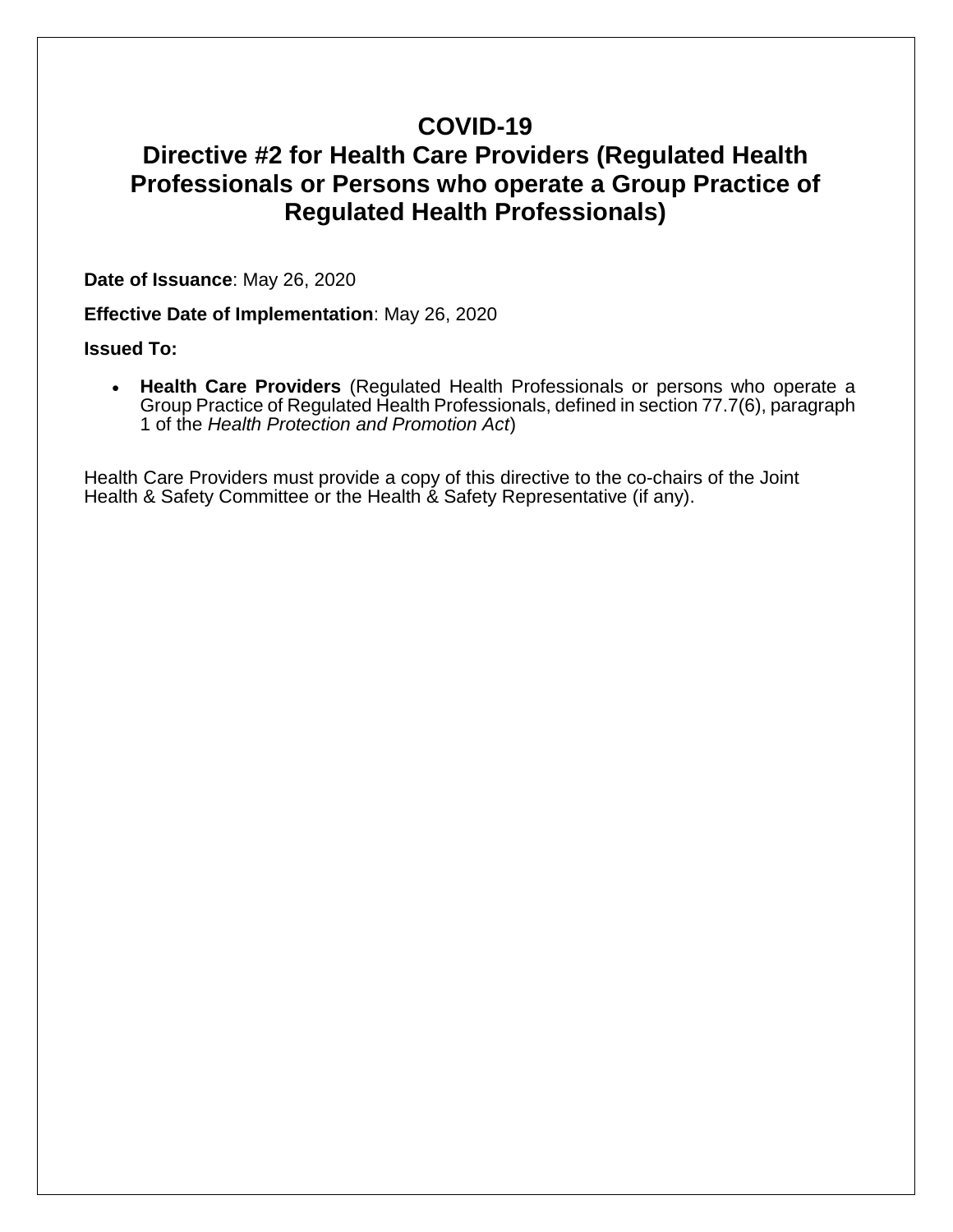## **COVID-19**

## **Directive #2 for Health Care Providers (Regulated Health Professionals or Persons who operate a Group Practice of Regulated Health Professionals)**

**Date of Issuance**: May 26, 2020

**Effective Date of Implementation**: May 26, 2020

#### **Issued To:**

• **Health Care Providers** (Regulated Health Professionals or persons who operate a Group Practice of Regulated Health Professionals, defined in section 77.7(6), paragraph 1 of the *Health Protection and Promotion Act*)

Health Care Providers must provide a copy of this directive to the co-chairs of the Joint Health & Safety Committee or the Health & Safety Representative (if any).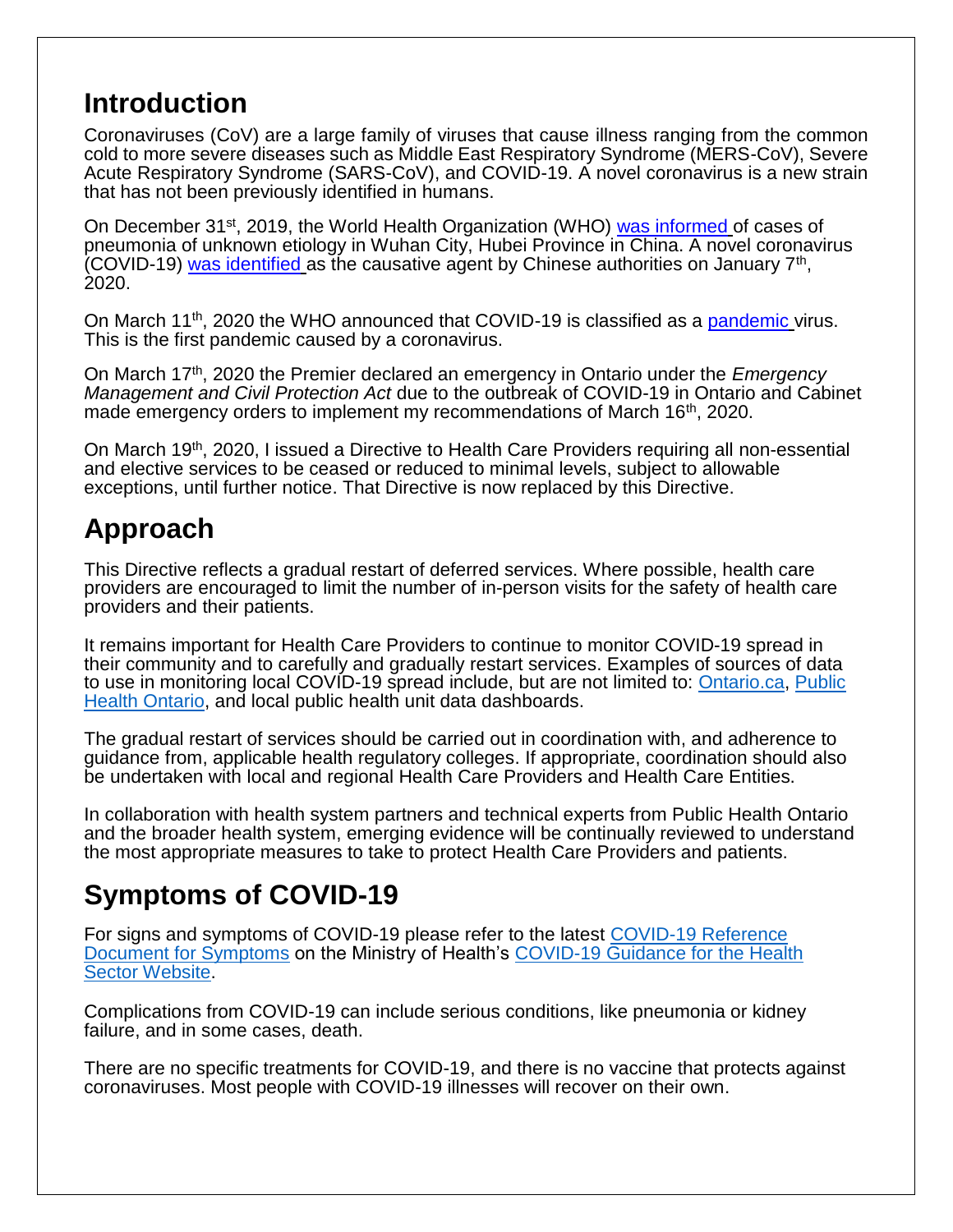## **Introduction**

Coronaviruses (CoV) are a large family of viruses that cause illness ranging from the common cold to more severe diseases such as Middle East Respiratory Syndrome (MERS-CoV), Severe Acute Respiratory Syndrome (SARS-CoV), and COVID-19. A novel coronavirus is a new strain that has not been previously identified in humans.

On December 31<sup>st</sup>, 2019, the World Health Organization (WHO) [was informed](https://www.who.int/csr/don/05-january-2020-pneumonia-of-unkown-cause-china/en/) of cases of pneumonia of unknown etiology in Wuhan City, Hubei Province in China. A novel coronavirus (COVID-19) [was identified](https://www.who.int/csr/don/12-january-2020-novel-coronavirus-china/en/) as the causative agent by Chinese authorities on January 7<sup>th</sup>, 2020.

On March 11<sup>th</sup>, 2020 the WHO announced that COVID-19 is classified as a [pandemic](https://www.who.int/dg/speeches/detail/who-director-general-s-opening-remarks-at-the-media-briefing-on-covid-19---11-march-2020) virus. This is the first pandemic caused by a coronavirus.

On March 17th, 2020 the Premier declared an emergency in Ontario under the *Emergency Management and Civil Protection Act* due to the outbreak of COVID-19 in Ontario and Cabinet made emergency orders to implement my recommendations of March 16<sup>th</sup>, 2020.

On March 19th, 2020, I issued a Directive to Health Care Providers requiring all non-essential and elective services to be ceased or reduced to minimal levels, subject to allowable exceptions, until further notice. That Directive is now replaced by this Directive.

# **Approach**

This Directive reflects a gradual restart of deferred services. Where possible, health care providers are encouraged to limit the number of in-person visits for the safety of health care providers and their patients.

It remains important for Health Care Providers to continue to monitor COVID-19 spread in their community and to carefully and gradually restart services. Examples of sources of data to use in monitoring local COVID-19 spread include, but are not limited to: [Ontario.ca,](https://www.ontario.ca/page/how-ontario-is-responding-covid-19#section-0) [Public](https://www.publichealthontario.ca/en/data-and-analysis/infectious-disease/covid-19-data-surveillance/covid-19-data-tool)  [Health Ontario,](https://www.publichealthontario.ca/en/data-and-analysis/infectious-disease/covid-19-data-surveillance/covid-19-data-tool) and local public health unit data dashboards.

The gradual restart of services should be carried out in coordination with, and adherence to guidance from, applicable health regulatory colleges. If appropriate, coordination should also be undertaken with local and regional Health Care Providers and Health Care Entities.

In collaboration with health system partners and technical experts from Public Health Ontario and the broader health system, emerging evidence will be continually reviewed to understand the most appropriate measures to take to protect Health Care Providers and patients.

# **Symptoms of COVID-19**

For signs and symptoms of COVID-19 please refer to the latest [COVID-19 Reference](http://www.health.gov.on.ca/en/pro/programs/publichealth/coronavirus/docs/2019_reference_doc_symptoms.pdf)  [Document for Symptoms](http://www.health.gov.on.ca/en/pro/programs/publichealth/coronavirus/docs/2019_reference_doc_symptoms.pdf) on the Ministry of Health's [COVID-19 Guidance for the Health](http://www.health.gov.on.ca/en/pro/programs/publichealth/coronavirus/2019_guidance.aspx)  [Sector Website.](http://www.health.gov.on.ca/en/pro/programs/publichealth/coronavirus/2019_guidance.aspx)

Complications from COVID-19 can include serious conditions, like pneumonia or kidney failure, and in some cases, death.

There are no specific treatments for COVID-19, and there is no vaccine that protects against coronaviruses. Most people with COVID-19 illnesses will recover on their own.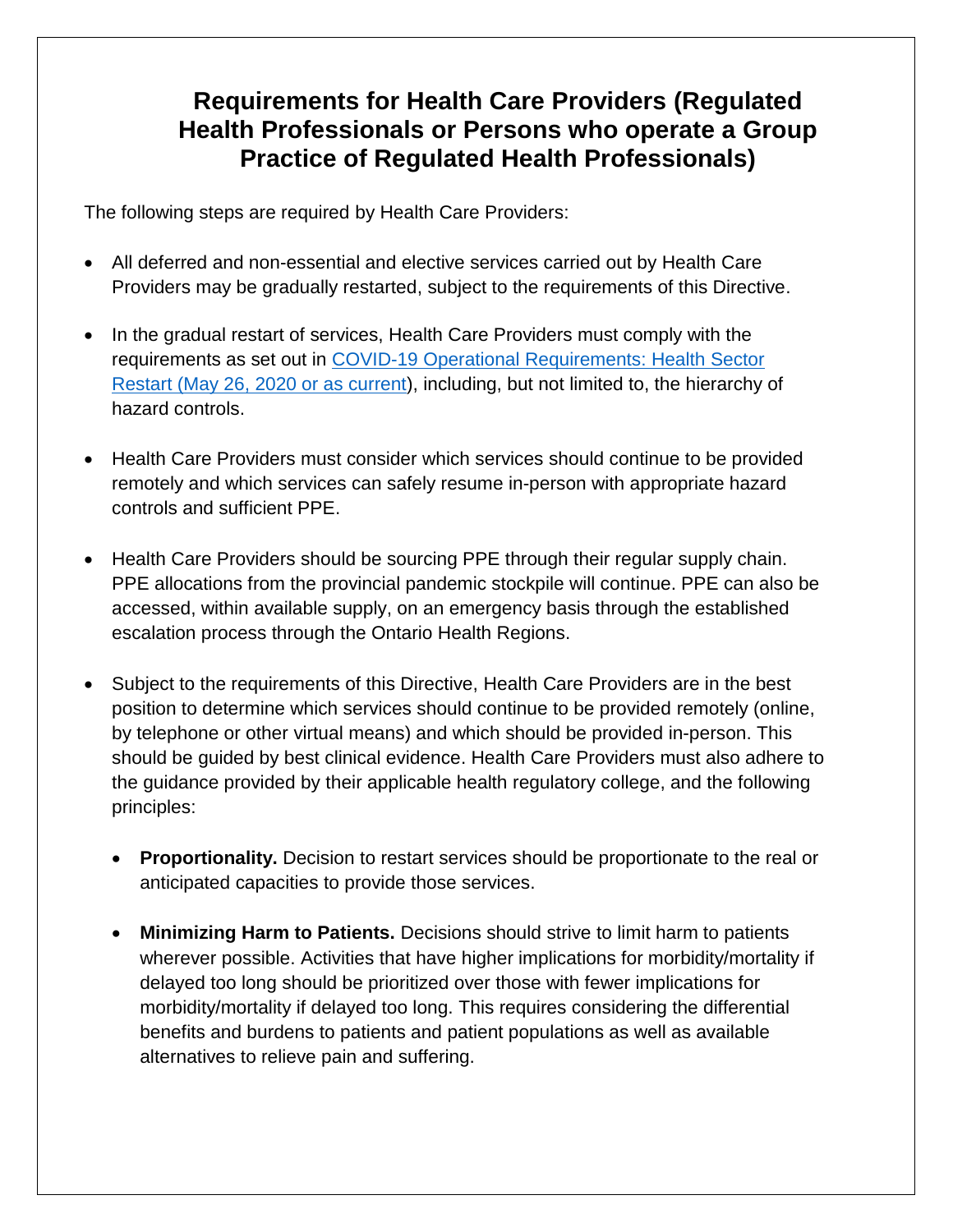## **Requirements for Health Care Providers (Regulated Health Professionals or Persons who operate a Group Practice of Regulated Health Professionals)**

The following steps are required by Health Care Providers:

- All deferred and non-essential and elective services carried out by Health Care Providers may be gradually restarted, subject to the requirements of this Directive.
- In the gradual restart of services, Health Care Providers must comply with the requirements as set out in [COVID-19 Operational Requirements: Health Sector](http://www.health.gov.on.ca/en/pro/programs/publichealth/coronavirus/dir_mem_res.aspx) [Restart \(May 26, 2020 or as current\)](http://www.health.gov.on.ca/en/pro/programs/publichealth/coronavirus/dir_mem_res.aspx), including, but not limited to, the hierarchy of hazard controls.
- Health Care Providers must consider which services should continue to be provided remotely and which services can safely resume in-person with appropriate hazard controls and sufficient PPE.
- Health Care Providers should be sourcing PPE through their regular supply chain. PPE allocations from the provincial pandemic stockpile will continue. PPE can also be accessed, within available supply, on an emergency basis through the established escalation process through the Ontario Health Regions.
- Subject to the requirements of this Directive, Health Care Providers are in the best position to determine which services should continue to be provided remotely (online, by telephone or other virtual means) and which should be provided in-person. This should be guided by best clinical evidence. Health Care Providers must also adhere to the guidance provided by their applicable health regulatory college, and the following principles:
	- **Proportionality.** Decision to restart services should be proportionate to the real or anticipated capacities to provide those services.
	- **Minimizing Harm to Patients.** Decisions should strive to limit harm to patients wherever possible. Activities that have higher implications for morbidity/mortality if delayed too long should be prioritized over those with fewer implications for morbidity/mortality if delayed too long. This requires considering the differential benefits and burdens to patients and patient populations as well as available alternatives to relieve pain and suffering.